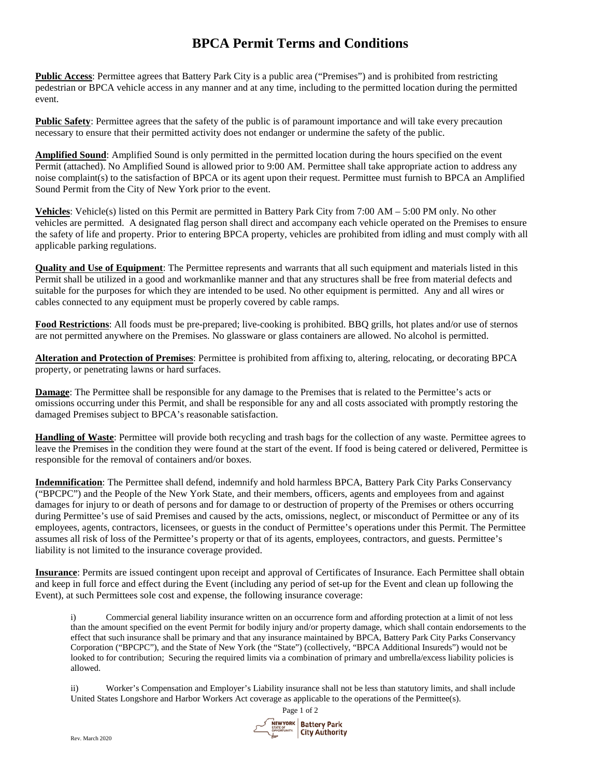## **BPCA Permit Terms and Conditions**

**Public Access**: Permittee agrees that Battery Park City is a public area ("Premises") and is prohibited from restricting pedestrian or BPCA vehicle access in any manner and at any time, including to the permitted location during the permitted event.

**Public Safety**: Permittee agrees that the safety of the public is of paramount importance and will take every precaution necessary to ensure that their permitted activity does not endanger or undermine the safety of the public.

**Amplified Sound**: Amplified Sound is only permitted in the permitted location during the hours specified on the event Permit (attached). No Amplified Sound is allowed prior to 9:00 AM. Permittee shall take appropriate action to address any noise complaint(s) to the satisfaction of BPCA or its agent upon their request. Permittee must furnish to BPCA an Amplified Sound Permit from the City of New York prior to the event.

**Vehicles**: Vehicle(s) listed on this Permit are permitted in Battery Park City from 7:00 AM – 5:00 PM only. No other vehicles are permitted. A designated flag person shall direct and accompany each vehicle operated on the Premises to ensure the safety of life and property. Prior to entering BPCA property, vehicles are prohibited from idling and must comply with all applicable parking regulations.

**Quality and Use of Equipment**: The Permittee represents and warrants that all such equipment and materials listed in this Permit shall be utilized in a good and workmanlike manner and that any structures shall be free from material defects and suitable for the purposes for which they are intended to be used. No other equipment is permitted. Any and all wires or cables connected to any equipment must be properly covered by cable ramps.

**Food Restrictions**: All foods must be pre-prepared; live-cooking is prohibited. BBQ grills, hot plates and/or use of sternos are not permitted anywhere on the Premises. No glassware or glass containers are allowed. No alcohol is permitted.

**Alteration and Protection of Premises**: Permittee is prohibited from affixing to, altering, relocating, or decorating BPCA property, or penetrating lawns or hard surfaces.

**Damage**: The Permittee shall be responsible for any damage to the Premises that is related to the Permittee's acts or omissions occurring under this Permit, and shall be responsible for any and all costs associated with promptly restoring the damaged Premises subject to BPCA's reasonable satisfaction.

**Handling of Waste**: Permittee will provide both recycling and trash bags for the collection of any waste. Permittee agrees to leave the Premises in the condition they were found at the start of the event. If food is being catered or delivered, Permittee is responsible for the removal of containers and/or boxes.

**Indemnification**: The Permittee shall defend, indemnify and hold harmless BPCA, Battery Park City Parks Conservancy ("BPCPC") and the People of the New York State, and their members, officers, agents and employees from and against damages for injury to or death of persons and for damage to or destruction of property of the Premises or others occurring during Permittee's use of said Premises and caused by the acts, omissions, neglect, or misconduct of Permittee or any of its employees, agents, contractors, licensees, or guests in the conduct of Permittee's operations under this Permit. The Permittee assumes all risk of loss of the Permittee's property or that of its agents, employees, contractors, and guests. Permittee's liability is not limited to the insurance coverage provided.

**Insurance**: Permits are issued contingent upon receipt and approval of Certificates of Insurance. Each Permittee shall obtain and keep in full force and effect during the Event (including any period of set-up for the Event and clean up following the Event), at such Permittees sole cost and expense, the following insurance coverage:

i) Commercial general liability insurance written on an occurrence form and affording protection at a limit of not less than the amount specified on the event Permit for bodily injury and/or property damage, which shall contain endorsements to the effect that such insurance shall be primary and that any insurance maintained by BPCA, Battery Park City Parks Conservancy Corporation ("BPCPC"), and the State of New York (the "State") (collectively, "BPCA Additional Insureds") would not be looked to for contribution; Securing the required limits via a combination of primary and umbrella/excess liability policies is allowed.

ii) Worker's Compensation and Employer's Liability insurance shall not be less than statutory limits, and shall include United States Longshore and Harbor Workers Act coverage as applicable to the operations of the Permittee(s).